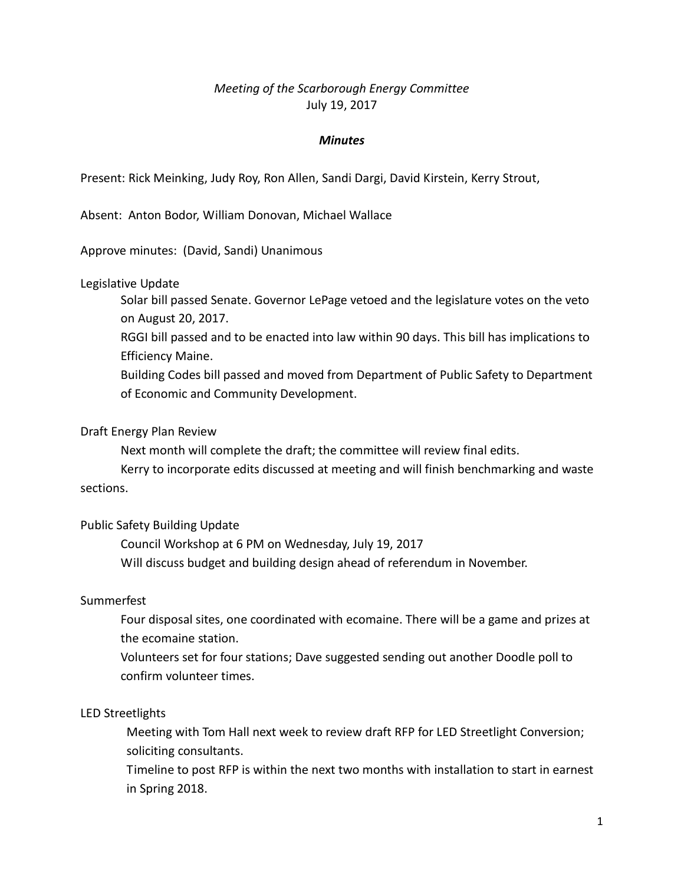# *Meeting of the Scarborough Energy Committee* July 19, 2017

#### *Minutes*

Present: Rick Meinking, Judy Roy, Ron Allen, Sandi Dargi, David Kirstein, Kerry Strout,

Absent: Anton Bodor, William Donovan, Michael Wallace

Approve minutes: (David, Sandi) Unanimous

#### Legislative Update

Solar bill passed Senate. Governor LePage vetoed and the legislature votes on the veto on August 20, 2017.

RGGI bill passed and to be enacted into law within 90 days. This bill has implications to Efficiency Maine.

Building Codes bill passed and moved from Department of Public Safety to Department of Economic and Community Development.

#### Draft Energy Plan Review

Next month will complete the draft; the committee will review final edits.

Kerry to incorporate edits discussed at meeting and will finish benchmarking and waste sections.

# Public Safety Building Update

Council Workshop at 6 PM on Wednesday, July 19, 2017 Will discuss budget and building design ahead of referendum in November.

# Summerfest

Four disposal sites, one coordinated with ecomaine. There will be a game and prizes at the ecomaine station.

Volunteers set for four stations; Dave suggested sending out another Doodle poll to confirm volunteer times.

# LED Streetlights

Meeting with Tom Hall next week to review draft RFP for LED Streetlight Conversion; soliciting consultants.

Timeline to post RFP is within the next two months with installation to start in earnest in Spring 2018.